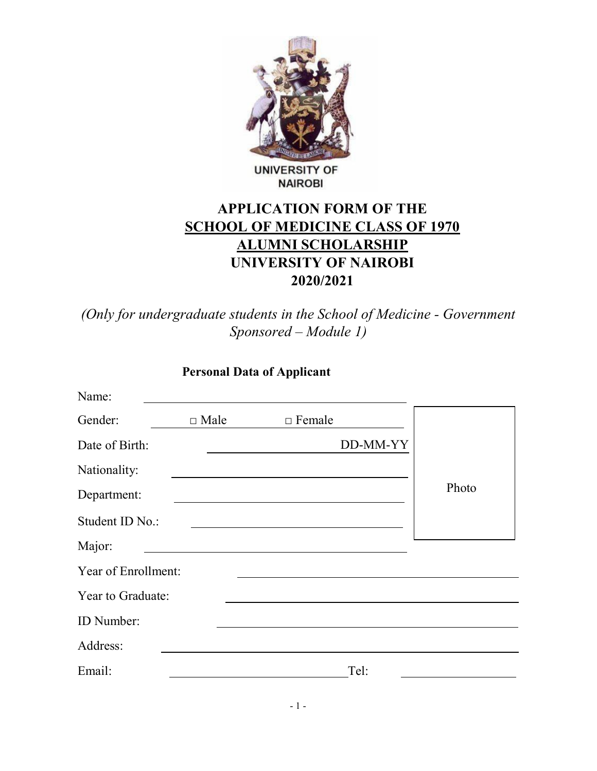

#### **UNIVERSITY OF NAIROBI**

# APPLICATION FORM OF THE SCHOOL OF MEDICINE CLASS OF 1970 ALUMNI SCHOLARSHIP UNIVERSITY OF NAIROBI 2020/2021

(Only for undergraduate students in the School of Medicine - Government Sponsored – Module 1)

### Personal Data of Applicant

| Name:               |             |                                                                                                                     |       |
|---------------------|-------------|---------------------------------------------------------------------------------------------------------------------|-------|
| Gender:             | $\Box$ Male | $\Box$ Female                                                                                                       |       |
| Date of Birth:      |             | DD-MM-YY                                                                                                            |       |
| Nationality:        |             |                                                                                                                     |       |
| Department:         |             |                                                                                                                     | Photo |
| Student ID No.:     |             |                                                                                                                     |       |
| Major:              |             | <u> 1989 - John Harry Harry Harry Harry Harry Harry Harry Harry Harry Harry Harry Harry Harry Harry Harry Harry</u> |       |
| Year of Enrollment: |             |                                                                                                                     |       |
| Year to Graduate:   |             |                                                                                                                     |       |
| ID Number:          |             |                                                                                                                     |       |
| Address:            |             |                                                                                                                     |       |
| Email:              |             | Tel:                                                                                                                |       |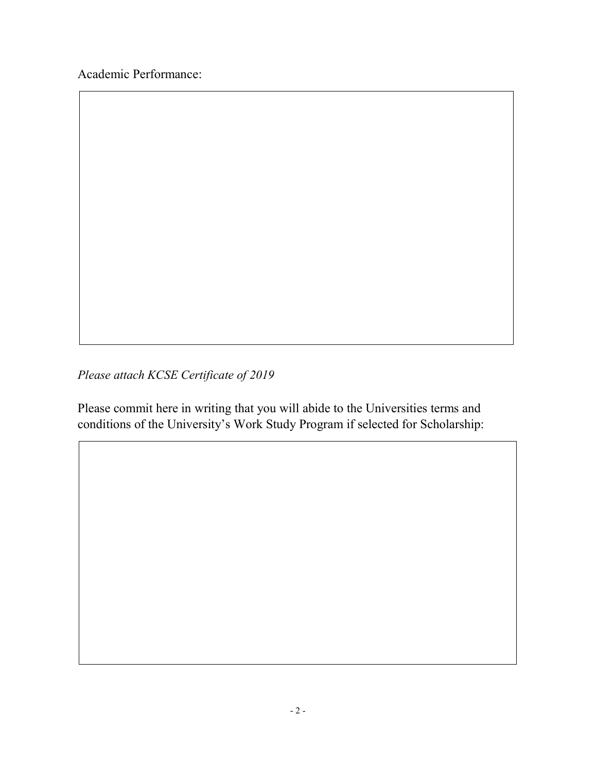Academic Performance:

Please attach KCSE Certificate of 2019

Please commit here in writing that you will abide to the Universities terms and conditions of the University's Work Study Program if selected for Scholarship: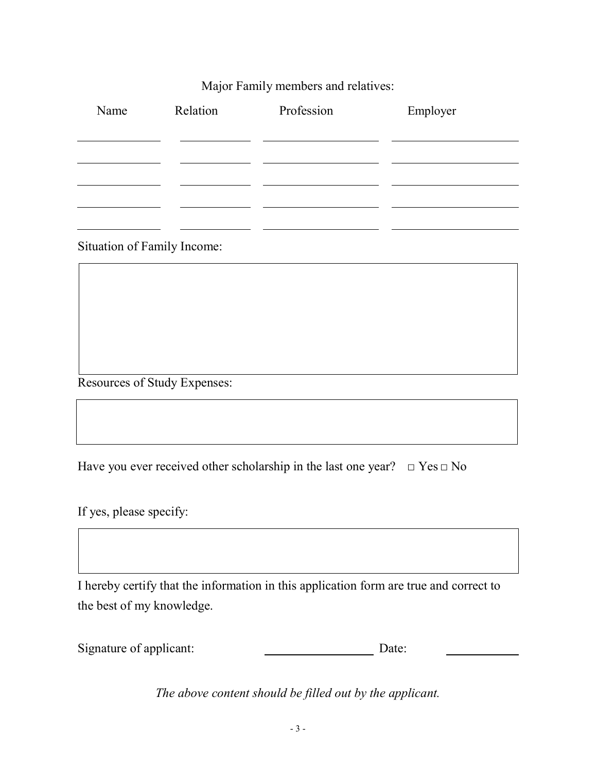#### Major Family members and relatives:

| Name | Relation | Profession | Employer |
|------|----------|------------|----------|
|      |          |            |          |
|      |          |            |          |
|      |          |            |          |
|      |          |            |          |

Situation of Family Income:

Resources of Study Expenses:

Have you ever received other scholarship in the last one year?  $\Box$  Yes  $\Box$  No

If yes, please specify:

I hereby certify that the information in this application form are true and correct to the best of my knowledge.

Signature of applicant: Date: Date:

The above content should be filled out by the applicant.